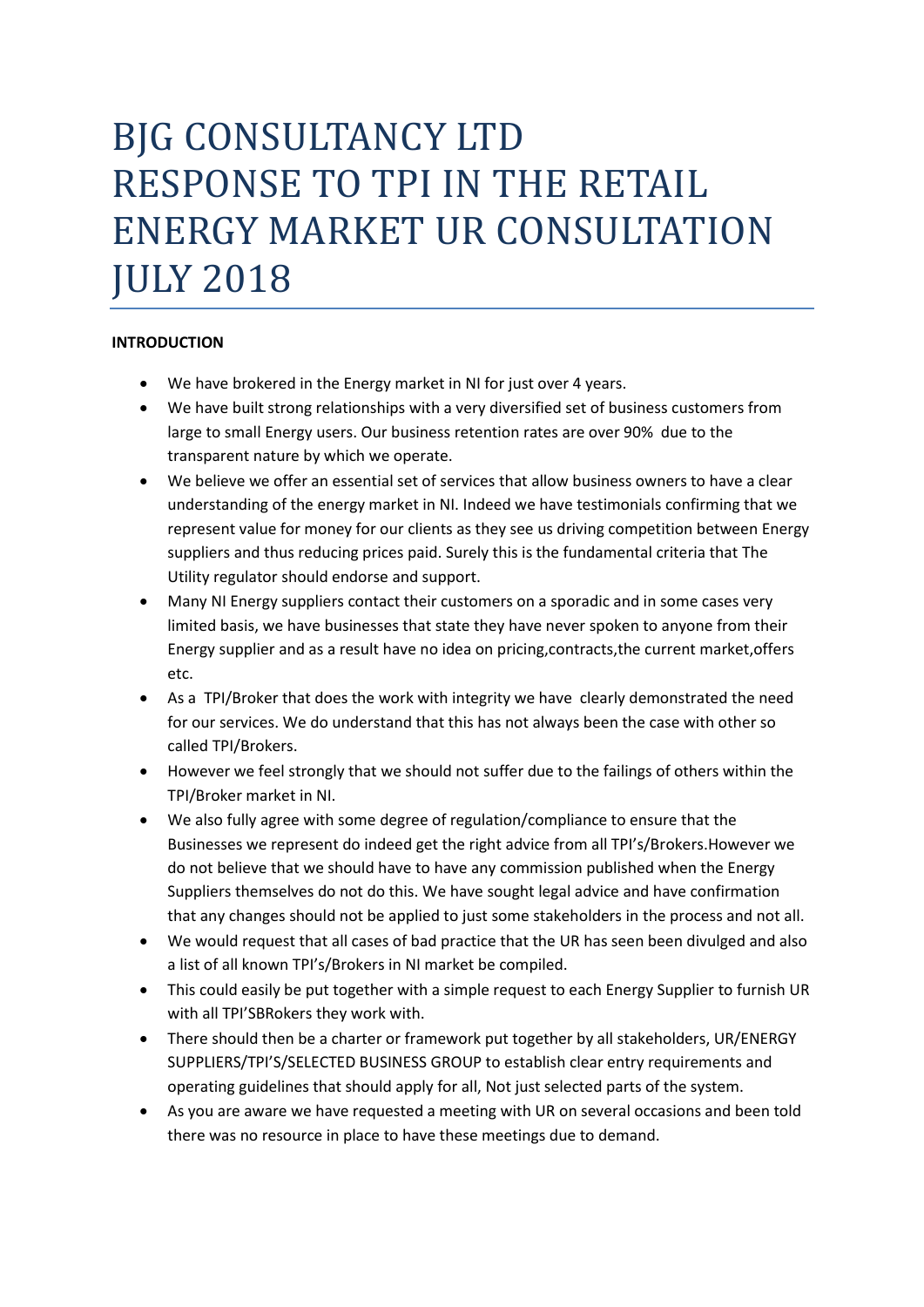## BJG CONSULTANCY LTD RESPONSE TO TPI IN THE RETAIL ENERGY MARKET UR CONSULTATION JULY 2018

#### **INTRODUCTION**

- We have brokered in the Energy market in NI for just over 4 years.
- We have built strong relationships with a very diversified set of business customers from large to small Energy users. Our business retention rates are over 90% due to the transparent nature by which we operate.
- We believe we offer an essential set of services that allow business owners to have a clear understanding of the energy market in NI. Indeed we have testimonials confirming that we represent value for money for our clients as they see us driving competition between Energy suppliers and thus reducing prices paid. Surely this is the fundamental criteria that The Utility regulator should endorse and support.
- Many NI Energy suppliers contact their customers on a sporadic and in some cases very limited basis, we have businesses that state they have never spoken to anyone from their Energy supplier and as a result have no idea on pricing,contracts,the current market,offers etc.
- As a TPI/Broker that does the work with integrity we have clearly demonstrated the need for our services. We do understand that this has not always been the case with other so called TPI/Brokers.
- However we feel strongly that we should not suffer due to the failings of others within the TPI/Broker market in NI.
- We also fully agree with some degree of regulation/compliance to ensure that the Businesses we represent do indeed get the right advice from all TPI's/Brokers.However we do not believe that we should have to have any commission published when the Energy Suppliers themselves do not do this. We have sought legal advice and have confirmation that any changes should not be applied to just some stakeholders in the process and not all.
- We would request that all cases of bad practice that the UR has seen been divulged and also a list of all known TPI's/Brokers in NI market be compiled.
- This could easily be put together with a simple request to each Energy Supplier to furnish UR with all TPI'SBRokers they work with.
- There should then be a charter or framework put together by all stakeholders, UR/ENERGY SUPPLIERS/TPI'S/SELECTED BUSINESS GROUP to establish clear entry requirements and operating guidelines that should apply for all, Not just selected parts of the system.
- As you are aware we have requested a meeting with UR on several occasions and been told there was no resource in place to have these meetings due to demand.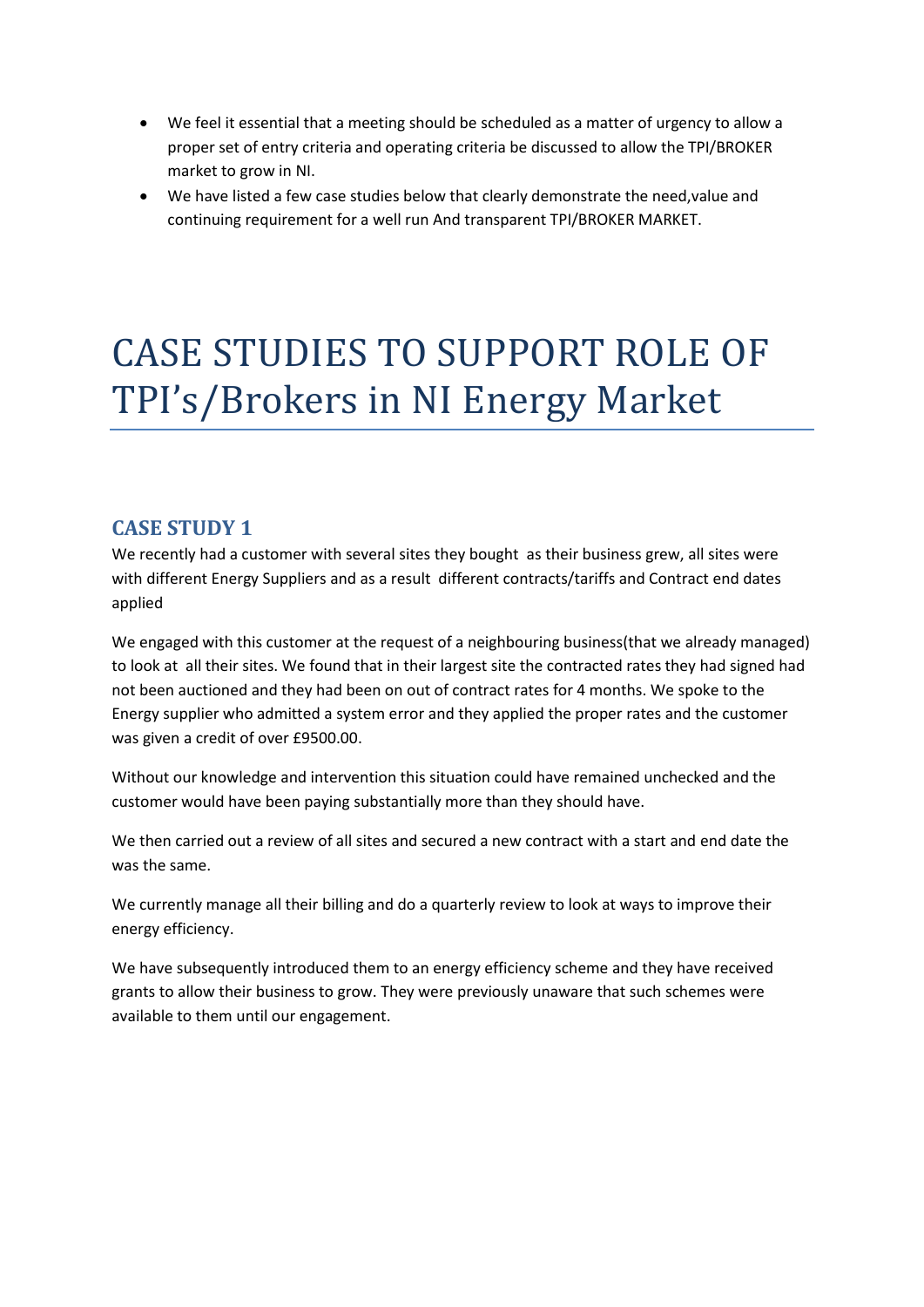- We feel it essential that a meeting should be scheduled as a matter of urgency to allow a proper set of entry criteria and operating criteria be discussed to allow the TPI/BROKER market to grow in NI.
- We have listed a few case studies below that clearly demonstrate the need,value and continuing requirement for a well run And transparent TPI/BROKER MARKET.

# CASE STUDIES TO SUPPORT ROLE OF TPI's/Brokers in NI Energy Market

#### **CASE STUDY 1**

We recently had a customer with several sites they bought as their business grew, all sites were with different Energy Suppliers and as a result different contracts/tariffs and Contract end dates applied

We engaged with this customer at the request of a neighbouring business(that we already managed) to look at all their sites. We found that in their largest site the contracted rates they had signed had not been auctioned and they had been on out of contract rates for 4 months. We spoke to the Energy supplier who admitted a system error and they applied the proper rates and the customer was given a credit of over £9500.00.

Without our knowledge and intervention this situation could have remained unchecked and the customer would have been paying substantially more than they should have.

We then carried out a review of all sites and secured a new contract with a start and end date the was the same.

We currently manage all their billing and do a quarterly review to look at ways to improve their energy efficiency.

We have subsequently introduced them to an energy efficiency scheme and they have received grants to allow their business to grow. They were previously unaware that such schemes were available to them until our engagement.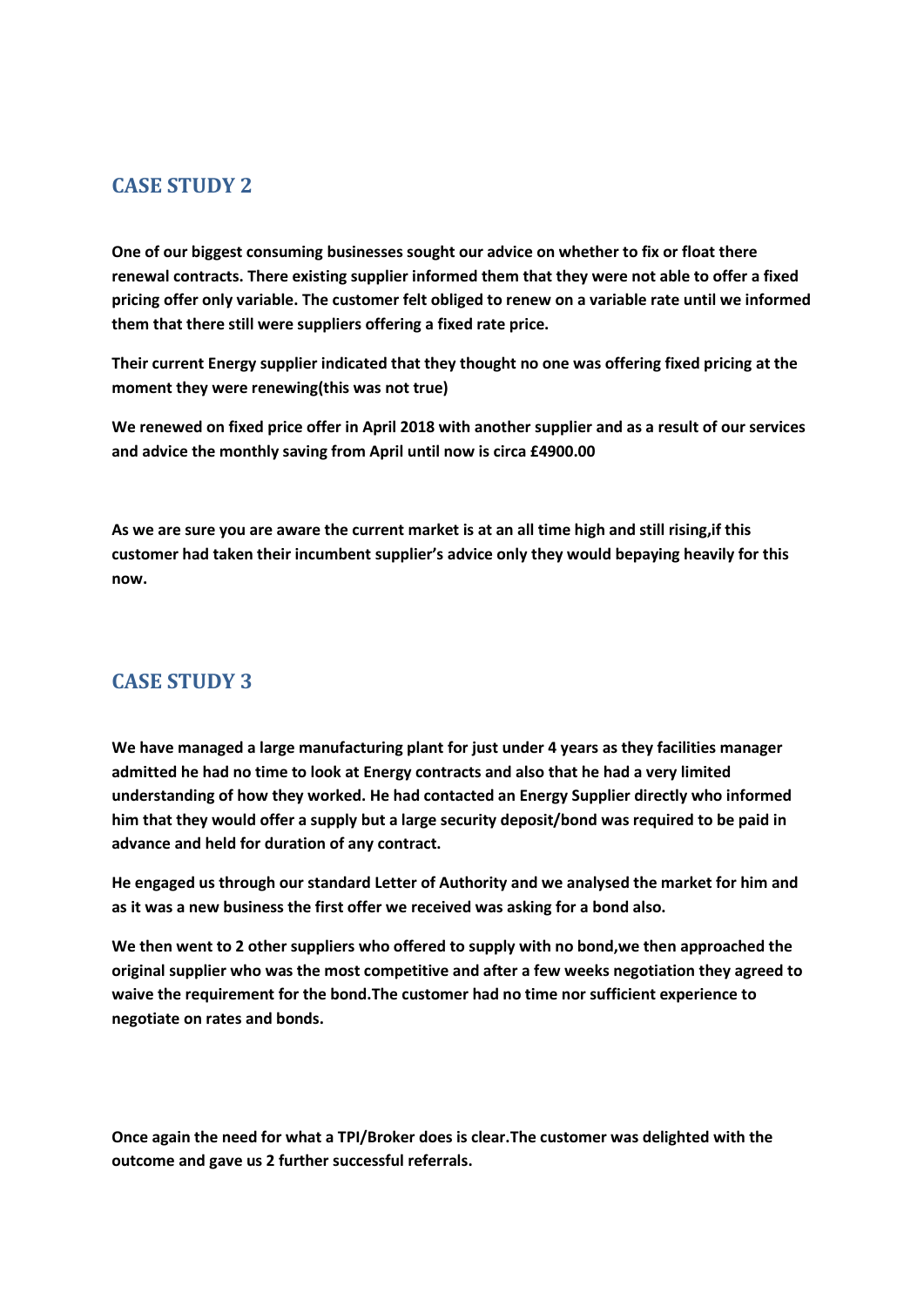#### **CASE STUDY 2**

**One of our biggest consuming businesses sought our advice on whether to fix or float there renewal contracts. There existing supplier informed them that they were not able to offer a fixed pricing offer only variable. The customer felt obliged to renew on a variable rate until we informed them that there still were suppliers offering a fixed rate price.**

**Their current Energy supplier indicated that they thought no one was offering fixed pricing at the moment they were renewing(this was not true)**

**We renewed on fixed price offer in April 2018 with another supplier and as a result of our services and advice the monthly saving from April until now is circa £4900.00**

**As we are sure you are aware the current market is at an all time high and still rising,if this customer had taken their incumbent supplier's advice only they would bepaying heavily for this now.** 

#### **CASE STUDY 3**

**We have managed a large manufacturing plant for just under 4 years as they facilities manager admitted he had no time to look at Energy contracts and also that he had a very limited understanding of how they worked. He had contacted an Energy Supplier directly who informed him that they would offer a supply but a large security deposit/bond was required to be paid in advance and held for duration of any contract.**

**He engaged us through our standard Letter of Authority and we analysed the market for him and as it was a new business the first offer we received was asking for a bond also.**

**We then went to 2 other suppliers who offered to supply with no bond,we then approached the original supplier who was the most competitive and after a few weeks negotiation they agreed to waive the requirement for the bond.The customer had no time nor sufficient experience to negotiate on rates and bonds.**

**Once again the need for what a TPI/Broker does is clear.The customer was delighted with the outcome and gave us 2 further successful referrals.**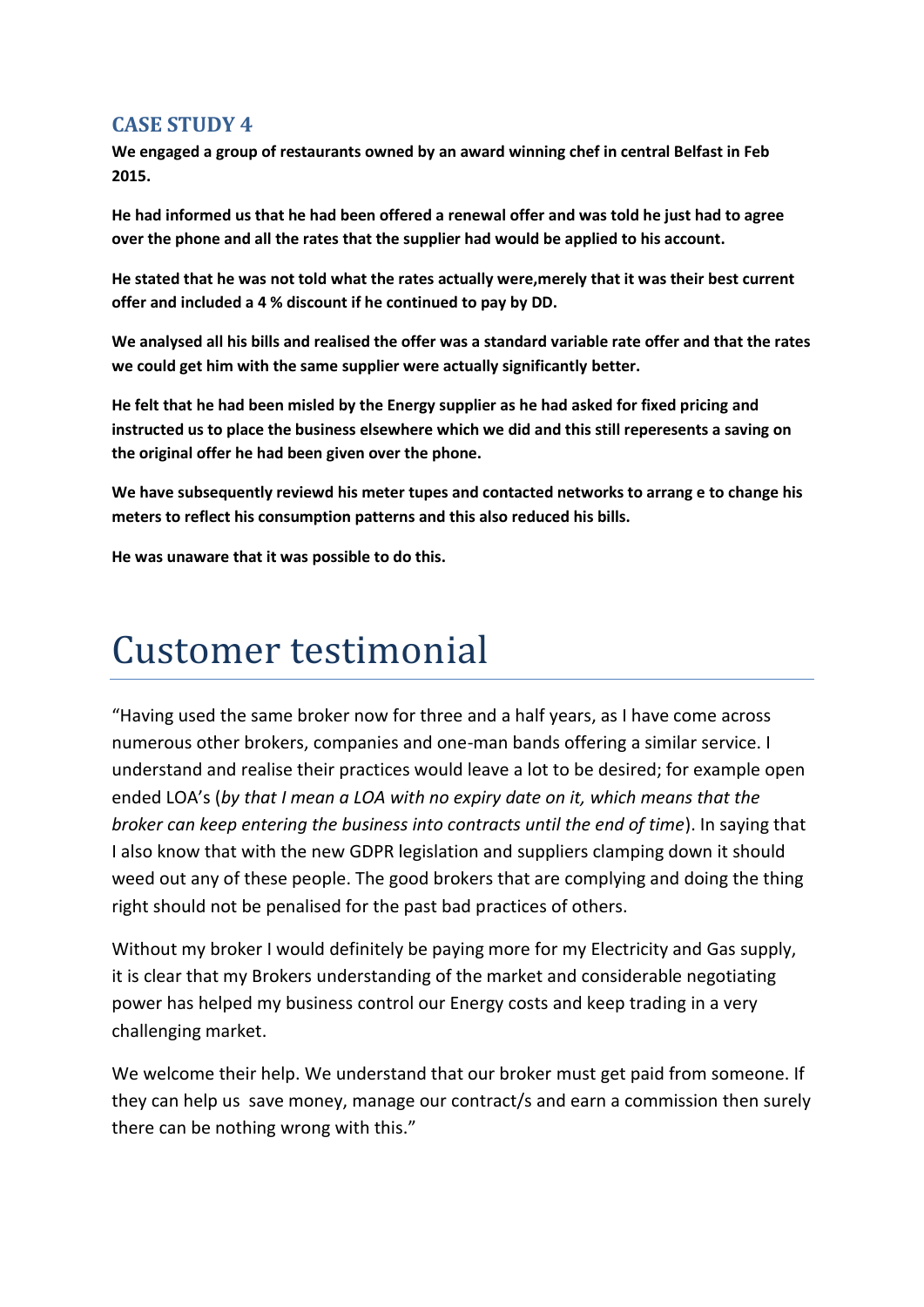#### **CASE STUDY 4**

**We engaged a group of restaurants owned by an award winning chef in central Belfast in Feb 2015.**

**He had informed us that he had been offered a renewal offer and was told he just had to agree over the phone and all the rates that the supplier had would be applied to his account.**

**He stated that he was not told what the rates actually were,merely that it was their best current offer and included a 4 % discount if he continued to pay by DD.**

**We analysed all his bills and realised the offer was a standard variable rate offer and that the rates we could get him with the same supplier were actually significantly better.**

**He felt that he had been misled by the Energy supplier as he had asked for fixed pricing and instructed us to place the business elsewhere which we did and this still reperesents a saving on the original offer he had been given over the phone.**

**We have subsequently reviewd his meter tupes and contacted networks to arrang e to change his meters to reflect his consumption patterns and this also reduced his bills.**

**He was unaware that it was possible to do this.** 

### Customer testimonial

"Having used the same broker now for three and a half years, as I have come across numerous other brokers, companies and one-man bands offering a similar service. I understand and realise their practices would leave a lot to be desired; for example open ended LOA's (*by that I mean a LOA with no expiry date on it, which means that the broker can keep entering the business into contracts until the end of time*). In saying that I also know that with the new GDPR legislation and suppliers clamping down it should weed out any of these people. The good brokers that are complying and doing the thing right should not be penalised for the past bad practices of others.

Without my broker I would definitely be paying more for my Electricity and Gas supply, it is clear that my Brokers understanding of the market and considerable negotiating power has helped my business control our Energy costs and keep trading in a very challenging market.

We welcome their help. We understand that our broker must get paid from someone. If they can help us save money, manage our contract/s and earn a commission then surely there can be nothing wrong with this."